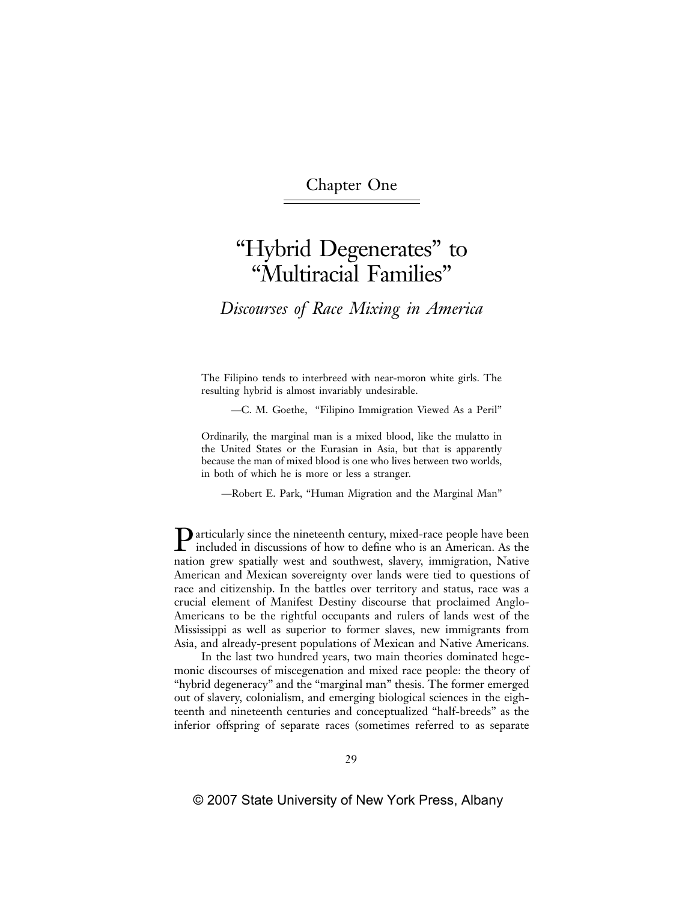# Chapter One

# "Hybrid Degenerates" to "Multiracial Families"

*Discourses of Race Mixing in America*

The Filipino tends to interbreed with near-moron white girls. The resulting hybrid is almost invariably undesirable.

—C. M. Goethe, "Filipino Immigration Viewed As a Peril"

Ordinarily, the marginal man is a mixed blood, like the mulatto in the United States or the Eurasian in Asia, but that is apparently because the man of mixed blood is one who lives between two worlds, in both of which he is more or less a stranger.

—Robert E. Park, "Human Migration and the Marginal Man"

Particularly since the nineteenth century, mixed-race people have been included in discussions of how to define who is an American. As the nation grew spatially west and southwest, slavery, immigration, Native American and Mexican sovereignty over lands were tied to questions of race and citizenship. In the battles over territory and status, race was a crucial element of Manifest Destiny discourse that proclaimed Anglo-Americans to be the rightful occupants and rulers of lands west of the Mississippi as well as superior to former slaves, new immigrants from Asia, and already-present populations of Mexican and Native Americans.

In the last two hundred years, two main theories dominated hegemonic discourses of miscegenation and mixed race people: the theory of "hybrid degeneracy" and the "marginal man" thesis. The former emerged out of slavery, colonialism, and emerging biological sciences in the eighteenth and nineteenth centuries and conceptualized "half-breeds" as the inferior offspring of separate races (sometimes referred to as separate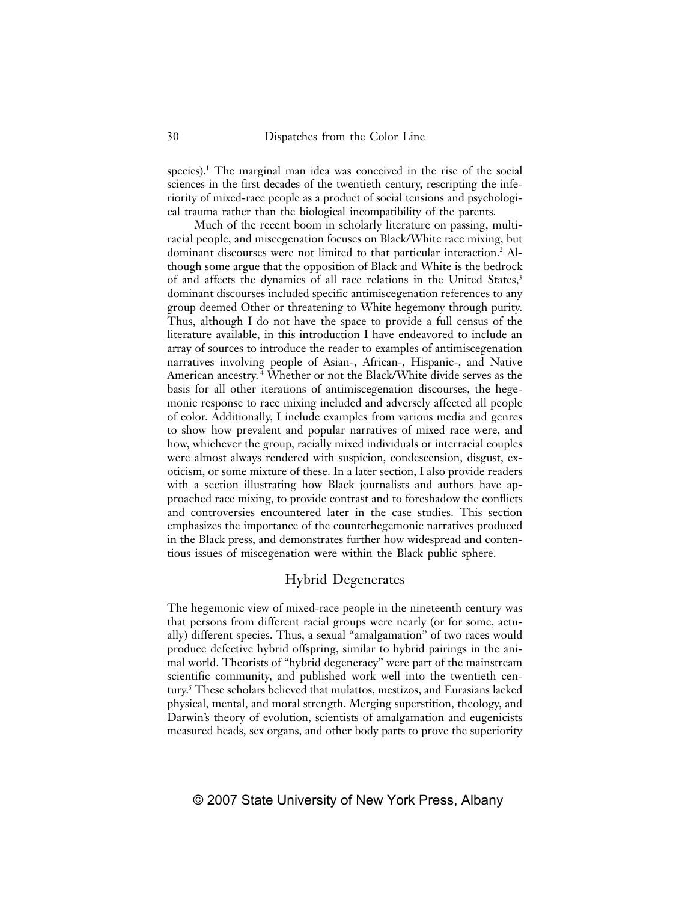species).1 The marginal man idea was conceived in the rise of the social sciences in the first decades of the twentieth century, rescripting the inferiority of mixed-race people as a product of social tensions and psychological trauma rather than the biological incompatibility of the parents.

Much of the recent boom in scholarly literature on passing, multiracial people, and miscegenation focuses on Black/White race mixing, but dominant discourses were not limited to that particular interaction.<sup>2</sup> Although some argue that the opposition of Black and White is the bedrock of and affects the dynamics of all race relations in the United States,<sup>3</sup> dominant discourses included specific antimiscegenation references to any group deemed Other or threatening to White hegemony through purity. Thus, although I do not have the space to provide a full census of the literature available, in this introduction I have endeavored to include an array of sources to introduce the reader to examples of antimiscegenation narratives involving people of Asian-, African-, Hispanic-, and Native American ancestry. 4 Whether or not the Black/White divide serves as the basis for all other iterations of antimiscegenation discourses, the hegemonic response to race mixing included and adversely affected all people of color. Additionally, I include examples from various media and genres to show how prevalent and popular narratives of mixed race were, and how, whichever the group, racially mixed individuals or interracial couples were almost always rendered with suspicion, condescension, disgust, exoticism, or some mixture of these. In a later section, I also provide readers with a section illustrating how Black journalists and authors have approached race mixing, to provide contrast and to foreshadow the conflicts and controversies encountered later in the case studies. This section emphasizes the importance of the counterhegemonic narratives produced in the Black press, and demonstrates further how widespread and contentious issues of miscegenation were within the Black public sphere.

#### Hybrid Degenerates

The hegemonic view of mixed-race people in the nineteenth century was that persons from different racial groups were nearly (or for some, actually) different species. Thus, a sexual "amalgamation" of two races would produce defective hybrid offspring, similar to hybrid pairings in the animal world. Theorists of "hybrid degeneracy" were part of the mainstream scientific community, and published work well into the twentieth century.5 These scholars believed that mulattos, mestizos, and Eurasians lacked physical, mental, and moral strength. Merging superstition, theology, and Darwin's theory of evolution, scientists of amalgamation and eugenicists measured heads, sex organs, and other body parts to prove the superiority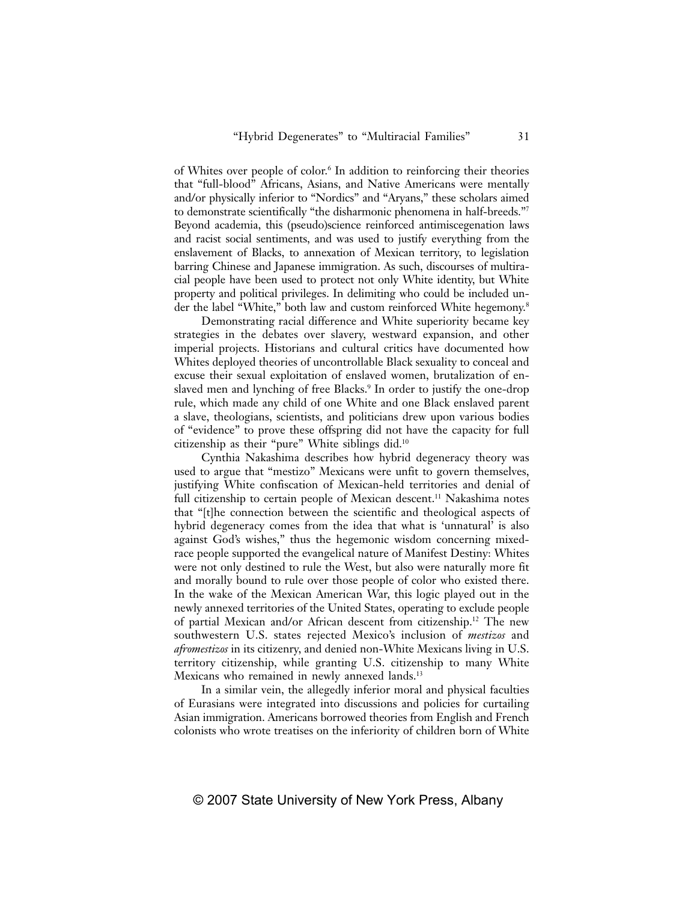of Whites over people of color.6 In addition to reinforcing their theories that "full-blood" Africans, Asians, and Native Americans were mentally and/or physically inferior to "Nordics" and "Aryans," these scholars aimed to demonstrate scientifically "the disharmonic phenomena in half-breeds."7 Beyond academia, this (pseudo)science reinforced antimiscegenation laws and racist social sentiments, and was used to justify everything from the enslavement of Blacks, to annexation of Mexican territory, to legislation barring Chinese and Japanese immigration. As such, discourses of multiracial people have been used to protect not only White identity, but White property and political privileges. In delimiting who could be included under the label "White," both law and custom reinforced White hegemony.<sup>8</sup>

Demonstrating racial difference and White superiority became key strategies in the debates over slavery, westward expansion, and other imperial projects. Historians and cultural critics have documented how Whites deployed theories of uncontrollable Black sexuality to conceal and excuse their sexual exploitation of enslaved women, brutalization of enslaved men and lynching of free Blacks.<sup>9</sup> In order to justify the one-drop rule, which made any child of one White and one Black enslaved parent a slave, theologians, scientists, and politicians drew upon various bodies of "evidence" to prove these offspring did not have the capacity for full citizenship as their "pure" White siblings did.10

Cynthia Nakashima describes how hybrid degeneracy theory was used to argue that "mestizo" Mexicans were unfit to govern themselves, justifying White confiscation of Mexican-held territories and denial of full citizenship to certain people of Mexican descent.<sup>11</sup> Nakashima notes that "[t]he connection between the scientific and theological aspects of hybrid degeneracy comes from the idea that what is 'unnatural' is also against God's wishes," thus the hegemonic wisdom concerning mixedrace people supported the evangelical nature of Manifest Destiny: Whites were not only destined to rule the West, but also were naturally more fit and morally bound to rule over those people of color who existed there. In the wake of the Mexican American War, this logic played out in the newly annexed territories of the United States, operating to exclude people of partial Mexican and/or African descent from citizenship.12 The new southwestern U.S. states rejected Mexico's inclusion of *mestizos* and *afromestizos* in its citizenry, and denied non-White Mexicans living in U.S. territory citizenship, while granting U.S. citizenship to many White Mexicans who remained in newly annexed lands.<sup>13</sup>

In a similar vein, the allegedly inferior moral and physical faculties of Eurasians were integrated into discussions and policies for curtailing Asian immigration. Americans borrowed theories from English and French colonists who wrote treatises on the inferiority of children born of White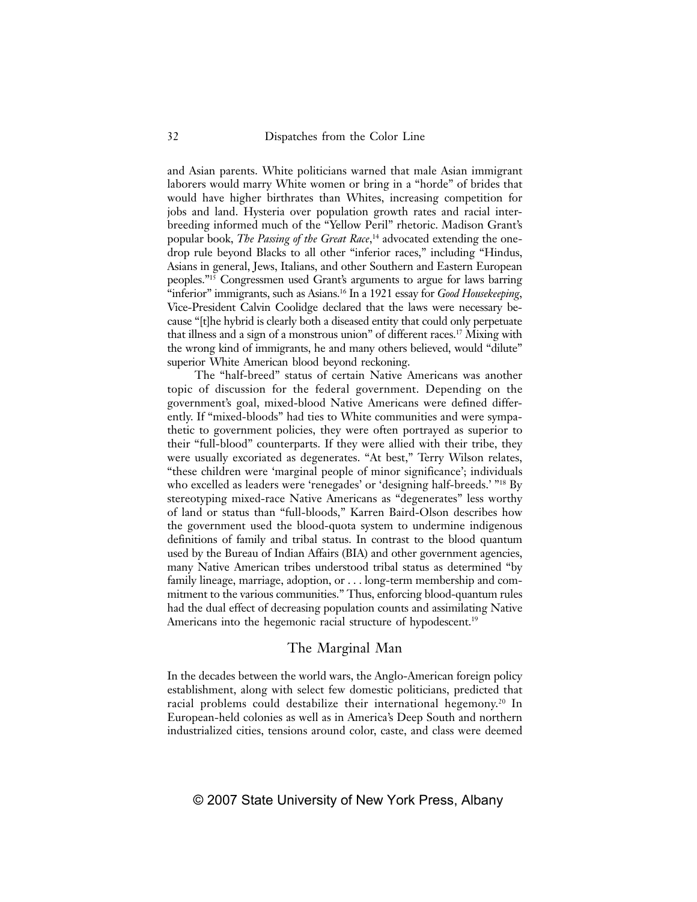and Asian parents. White politicians warned that male Asian immigrant laborers would marry White women or bring in a "horde" of brides that would have higher birthrates than Whites, increasing competition for jobs and land. Hysteria over population growth rates and racial interbreeding informed much of the "Yellow Peril" rhetoric. Madison Grant's popular book, *The Passing of the Great Race*, 14 advocated extending the onedrop rule beyond Blacks to all other "inferior races," including "Hindus, Asians in general, Jews, Italians, and other Southern and Eastern European peoples."15 Congressmen used Grant's arguments to argue for laws barring "inferior" immigrants, such as Asians.16 In a 1921 essay for *Good Housekeeping*, Vice-President Calvin Coolidge declared that the laws were necessary because "[t]he hybrid is clearly both a diseased entity that could only perpetuate that illness and a sign of a monstrous union" of different races.17 Mixing with the wrong kind of immigrants, he and many others believed, would "dilute" superior White American blood beyond reckoning.

The "half-breed" status of certain Native Americans was another topic of discussion for the federal government. Depending on the government's goal, mixed-blood Native Americans were defined differently. If "mixed-bloods" had ties to White communities and were sympathetic to government policies, they were often portrayed as superior to their "full-blood" counterparts. If they were allied with their tribe, they were usually excoriated as degenerates. "At best," Terry Wilson relates, "these children were 'marginal people of minor significance'; individuals who excelled as leaders were 'renegades' or 'designing half-breeds.' "<sup>18</sup> By stereotyping mixed-race Native Americans as "degenerates" less worthy of land or status than "full-bloods," Karren Baird-Olson describes how the government used the blood-quota system to undermine indigenous definitions of family and tribal status. In contrast to the blood quantum used by the Bureau of Indian Affairs (BIA) and other government agencies, many Native American tribes understood tribal status as determined "by family lineage, marriage, adoption, or . . . long-term membership and commitment to the various communities." Thus, enforcing blood-quantum rules had the dual effect of decreasing population counts and assimilating Native Americans into the hegemonic racial structure of hypodescent.<sup>19</sup>

#### The Marginal Man

In the decades between the world wars, the Anglo-American foreign policy establishment, along with select few domestic politicians, predicted that racial problems could destabilize their international hegemony.<sup>20</sup> In European-held colonies as well as in America's Deep South and northern industrialized cities, tensions around color, caste, and class were deemed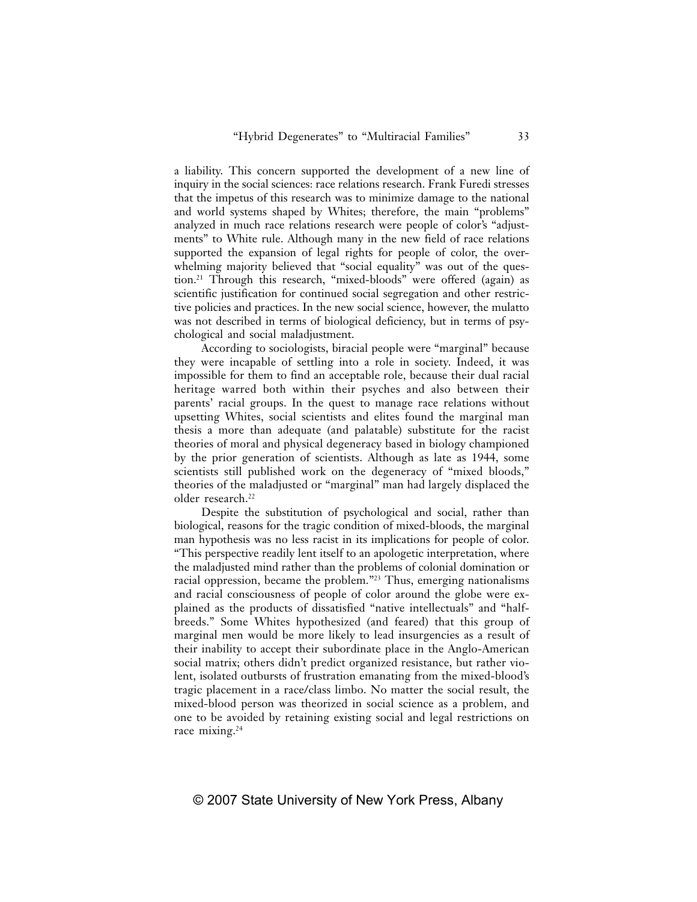a liability. This concern supported the development of a new line of inquiry in the social sciences: race relations research. Frank Furedi stresses that the impetus of this research was to minimize damage to the national and world systems shaped by Whites; therefore, the main "problems" analyzed in much race relations research were people of color's "adjustments" to White rule. Although many in the new field of race relations supported the expansion of legal rights for people of color, the overwhelming majority believed that "social equality" was out of the question.21 Through this research, "mixed-bloods" were offered (again) as scientific justification for continued social segregation and other restrictive policies and practices. In the new social science, however, the mulatto was not described in terms of biological deficiency, but in terms of psychological and social maladjustment.

According to sociologists, biracial people were "marginal" because they were incapable of settling into a role in society. Indeed, it was impossible for them to find an acceptable role, because their dual racial heritage warred both within their psyches and also between their parents' racial groups. In the quest to manage race relations without upsetting Whites, social scientists and elites found the marginal man thesis a more than adequate (and palatable) substitute for the racist theories of moral and physical degeneracy based in biology championed by the prior generation of scientists. Although as late as 1944, some scientists still published work on the degeneracy of "mixed bloods," theories of the maladjusted or "marginal" man had largely displaced the older research.<sup>22</sup>

Despite the substitution of psychological and social, rather than biological, reasons for the tragic condition of mixed-bloods, the marginal man hypothesis was no less racist in its implications for people of color. "This perspective readily lent itself to an apologetic interpretation, where the maladjusted mind rather than the problems of colonial domination or racial oppression, became the problem."23 Thus, emerging nationalisms and racial consciousness of people of color around the globe were explained as the products of dissatisfied "native intellectuals" and "halfbreeds." Some Whites hypothesized (and feared) that this group of marginal men would be more likely to lead insurgencies as a result of their inability to accept their subordinate place in the Anglo-American social matrix; others didn't predict organized resistance, but rather violent, isolated outbursts of frustration emanating from the mixed-blood's tragic placement in a race/class limbo. No matter the social result, the mixed-blood person was theorized in social science as a problem, and one to be avoided by retaining existing social and legal restrictions on race mixing. $24$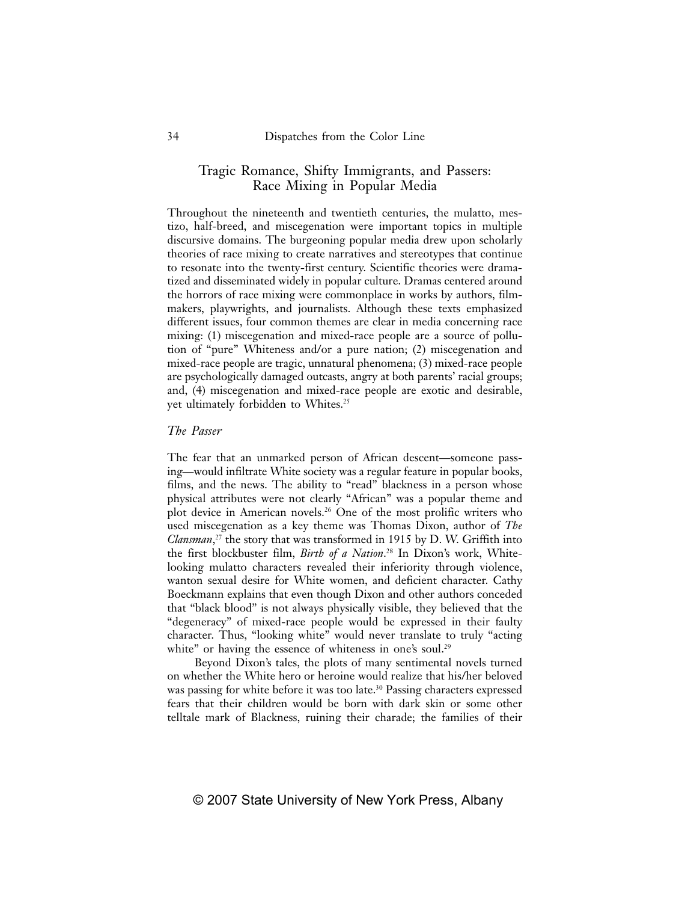### Tragic Romance, Shifty Immigrants, and Passers: Race Mixing in Popular Media

Throughout the nineteenth and twentieth centuries, the mulatto, mestizo, half-breed, and miscegenation were important topics in multiple discursive domains. The burgeoning popular media drew upon scholarly theories of race mixing to create narratives and stereotypes that continue to resonate into the twenty-first century. Scientific theories were dramatized and disseminated widely in popular culture. Dramas centered around the horrors of race mixing were commonplace in works by authors, filmmakers, playwrights, and journalists. Although these texts emphasized different issues, four common themes are clear in media concerning race mixing: (1) miscegenation and mixed-race people are a source of pollution of "pure" Whiteness and/or a pure nation; (2) miscegenation and mixed-race people are tragic, unnatural phenomena; (3) mixed-race people are psychologically damaged outcasts, angry at both parents' racial groups; and, (4) miscegenation and mixed-race people are exotic and desirable, yet ultimately forbidden to Whites.<sup>25</sup>

#### *The Passer*

The fear that an unmarked person of African descent—someone passing—would infiltrate White society was a regular feature in popular books, films, and the news. The ability to "read" blackness in a person whose physical attributes were not clearly "African" was a popular theme and plot device in American novels.26 One of the most prolific writers who used miscegenation as a key theme was Thomas Dixon, author of *The Clansman*, 27 the story that was transformed in 1915 by D. W. Griffith into the first blockbuster film, *Birth of a Nation*. 28 In Dixon's work, Whitelooking mulatto characters revealed their inferiority through violence, wanton sexual desire for White women, and deficient character. Cathy Boeckmann explains that even though Dixon and other authors conceded that "black blood" is not always physically visible, they believed that the "degeneracy" of mixed-race people would be expressed in their faulty character. Thus, "looking white" would never translate to truly "acting white" or having the essence of whiteness in one's soul.<sup>29</sup>

Beyond Dixon's tales, the plots of many sentimental novels turned on whether the White hero or heroine would realize that his/her beloved was passing for white before it was too late.<sup>30</sup> Passing characters expressed fears that their children would be born with dark skin or some other telltale mark of Blackness, ruining their charade; the families of their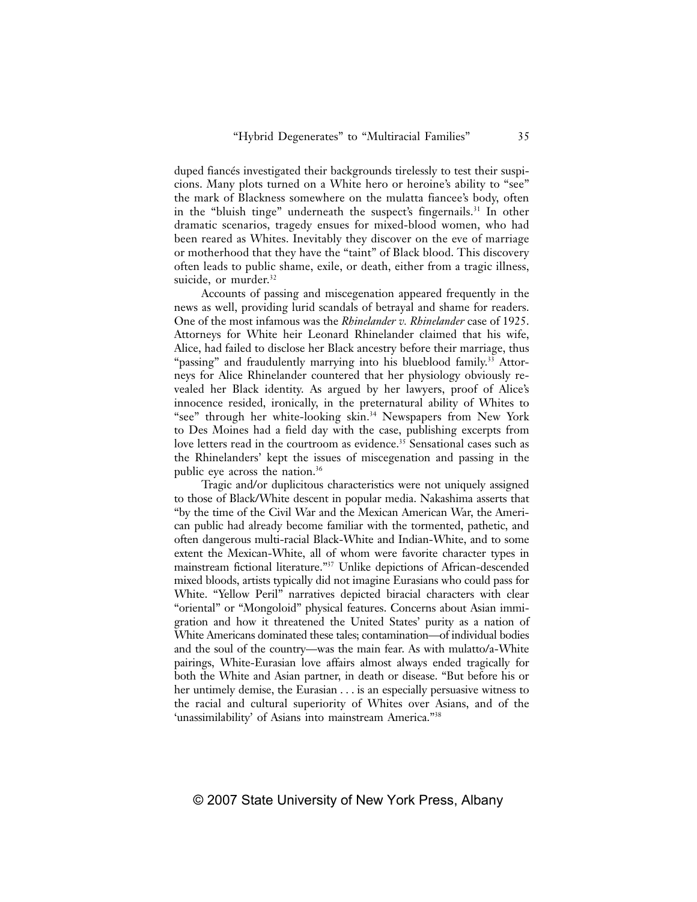duped fiancés investigated their backgrounds tirelessly to test their suspicions. Many plots turned on a White hero or heroine's ability to "see" the mark of Blackness somewhere on the mulatta fiancee's body, often in the "bluish tinge" underneath the suspect's fingernails.31 In other dramatic scenarios, tragedy ensues for mixed-blood women, who had been reared as Whites. Inevitably they discover on the eve of marriage or motherhood that they have the "taint" of Black blood. This discovery often leads to public shame, exile, or death, either from a tragic illness, suicide, or murder.<sup>32</sup>

Accounts of passing and miscegenation appeared frequently in the news as well, providing lurid scandals of betrayal and shame for readers. One of the most infamous was the *Rhinelander v. Rhinelander* case of 1925. Attorneys for White heir Leonard Rhinelander claimed that his wife, Alice, had failed to disclose her Black ancestry before their marriage, thus "passing" and fraudulently marrying into his blueblood family.33 Attorneys for Alice Rhinelander countered that her physiology obviously revealed her Black identity. As argued by her lawyers, proof of Alice's innocence resided, ironically, in the preternatural ability of Whites to "see" through her white-looking skin.<sup>34</sup> Newspapers from New York to Des Moines had a field day with the case, publishing excerpts from love letters read in the courtroom as evidence.<sup>35</sup> Sensational cases such as the Rhinelanders' kept the issues of miscegenation and passing in the public eye across the nation.36

Tragic and/or duplicitous characteristics were not uniquely assigned to those of Black/White descent in popular media. Nakashima asserts that "by the time of the Civil War and the Mexican American War, the American public had already become familiar with the tormented, pathetic, and often dangerous multi-racial Black-White and Indian-White, and to some extent the Mexican-White, all of whom were favorite character types in mainstream fictional literature."37 Unlike depictions of African-descended mixed bloods, artists typically did not imagine Eurasians who could pass for White. "Yellow Peril" narratives depicted biracial characters with clear "oriental" or "Mongoloid" physical features. Concerns about Asian immigration and how it threatened the United States' purity as a nation of White Americans dominated these tales; contamination—of individual bodies and the soul of the country—was the main fear. As with mulatto/a-White pairings, White-Eurasian love affairs almost always ended tragically for both the White and Asian partner, in death or disease. "But before his or her untimely demise, the Eurasian . . . is an especially persuasive witness to the racial and cultural superiority of Whites over Asians, and of the 'unassimilability' of Asians into mainstream America."38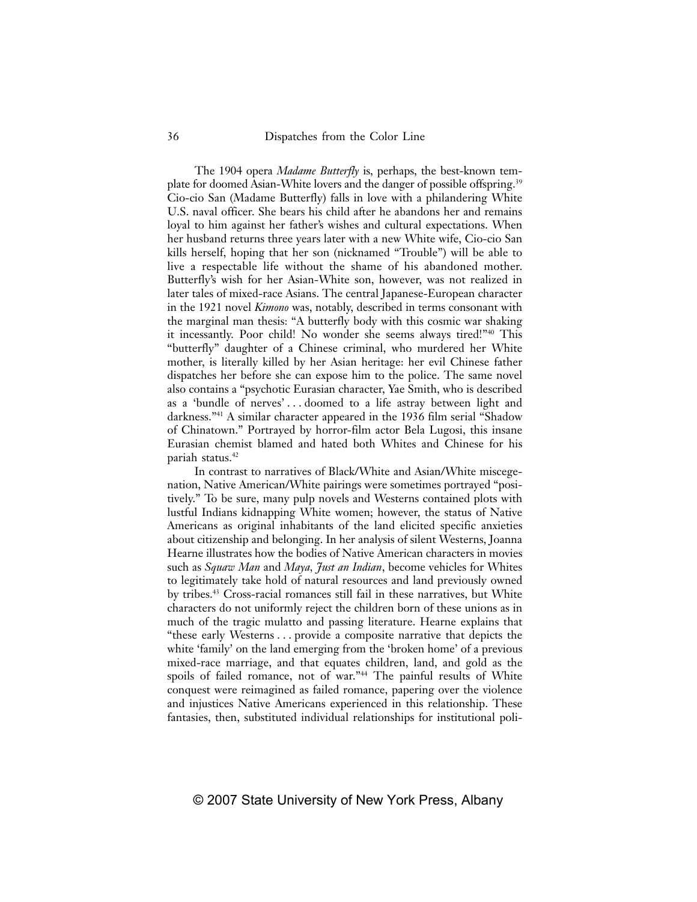The 1904 opera *Madame Butterfly* is, perhaps, the best-known template for doomed Asian-White lovers and the danger of possible offspring.<sup>39</sup> Cio-cio San (Madame Butterfly) falls in love with a philandering White U.S. naval officer. She bears his child after he abandons her and remains loyal to him against her father's wishes and cultural expectations. When her husband returns three years later with a new White wife, Cio-cio San kills herself, hoping that her son (nicknamed "Trouble") will be able to live a respectable life without the shame of his abandoned mother. Butterfly's wish for her Asian-White son, however, was not realized in later tales of mixed-race Asians. The central Japanese-European character in the 1921 novel *Kimono* was, notably, described in terms consonant with the marginal man thesis: "A butterfly body with this cosmic war shaking it incessantly. Poor child! No wonder she seems always tired!"40 This "butterfly" daughter of a Chinese criminal, who murdered her White mother, is literally killed by her Asian heritage: her evil Chinese father dispatches her before she can expose him to the police. The same novel also contains a "psychotic Eurasian character, Yae Smith, who is described as a 'bundle of nerves' . . . doomed to a life astray between light and darkness."41 A similar character appeared in the 1936 film serial "Shadow of Chinatown." Portrayed by horror-film actor Bela Lugosi, this insane Eurasian chemist blamed and hated both Whites and Chinese for his pariah status.42

In contrast to narratives of Black/White and Asian/White miscegenation, Native American/White pairings were sometimes portrayed "positively." To be sure, many pulp novels and Westerns contained plots with lustful Indians kidnapping White women; however, the status of Native Americans as original inhabitants of the land elicited specific anxieties about citizenship and belonging. In her analysis of silent Westerns, Joanna Hearne illustrates how the bodies of Native American characters in movies such as *Squaw Man* and *Maya, Just an Indian*, become vehicles for Whites to legitimately take hold of natural resources and land previously owned by tribes.43 Cross-racial romances still fail in these narratives, but White characters do not uniformly reject the children born of these unions as in much of the tragic mulatto and passing literature. Hearne explains that "these early Westerns . . . provide a composite narrative that depicts the white 'family' on the land emerging from the 'broken home' of a previous mixed-race marriage, and that equates children, land, and gold as the spoils of failed romance, not of war."<sup>44</sup> The painful results of White conquest were reimagined as failed romance, papering over the violence and injustices Native Americans experienced in this relationship. These fantasies, then, substituted individual relationships for institutional poli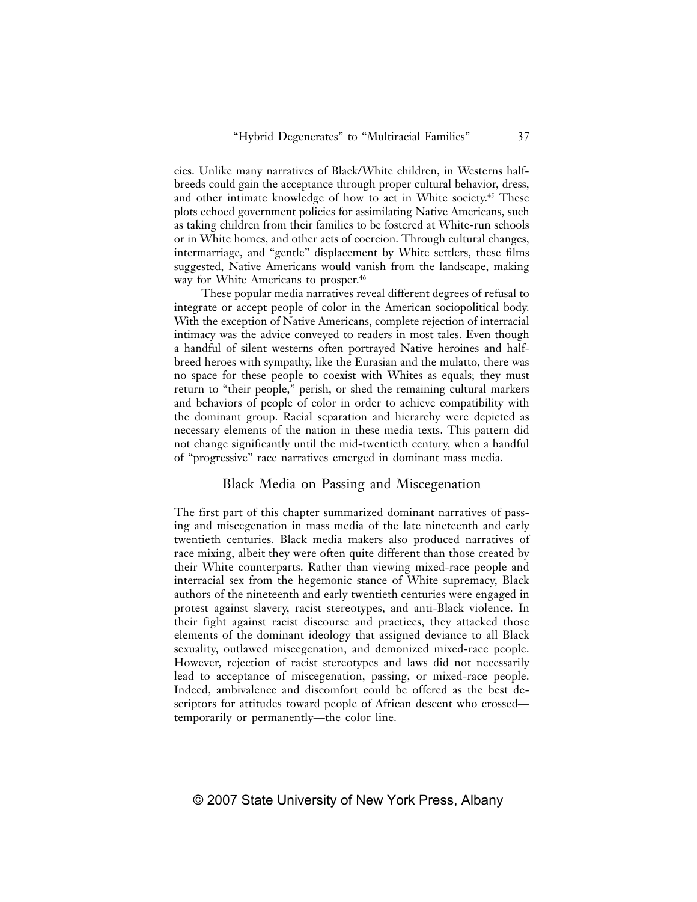cies. Unlike many narratives of Black/White children, in Westerns halfbreeds could gain the acceptance through proper cultural behavior, dress, and other intimate knowledge of how to act in White society.<sup>45</sup> These plots echoed government policies for assimilating Native Americans, such as taking children from their families to be fostered at White-run schools or in White homes, and other acts of coercion. Through cultural changes, intermarriage, and "gentle" displacement by White settlers, these films suggested, Native Americans would vanish from the landscape, making way for White Americans to prosper.<sup>46</sup>

These popular media narratives reveal different degrees of refusal to integrate or accept people of color in the American sociopolitical body. With the exception of Native Americans, complete rejection of interracial intimacy was the advice conveyed to readers in most tales. Even though a handful of silent westerns often portrayed Native heroines and halfbreed heroes with sympathy, like the Eurasian and the mulatto, there was no space for these people to coexist with Whites as equals; they must return to "their people," perish, or shed the remaining cultural markers and behaviors of people of color in order to achieve compatibility with the dominant group. Racial separation and hierarchy were depicted as necessary elements of the nation in these media texts. This pattern did not change significantly until the mid-twentieth century, when a handful of "progressive" race narratives emerged in dominant mass media.

#### Black Media on Passing and Miscegenation

The first part of this chapter summarized dominant narratives of passing and miscegenation in mass media of the late nineteenth and early twentieth centuries. Black media makers also produced narratives of race mixing, albeit they were often quite different than those created by their White counterparts. Rather than viewing mixed-race people and interracial sex from the hegemonic stance of White supremacy, Black authors of the nineteenth and early twentieth centuries were engaged in protest against slavery, racist stereotypes, and anti-Black violence. In their fight against racist discourse and practices, they attacked those elements of the dominant ideology that assigned deviance to all Black sexuality, outlawed miscegenation, and demonized mixed-race people. However, rejection of racist stereotypes and laws did not necessarily lead to acceptance of miscegenation, passing, or mixed-race people. Indeed, ambivalence and discomfort could be offered as the best descriptors for attitudes toward people of African descent who crossed temporarily or permanently—the color line.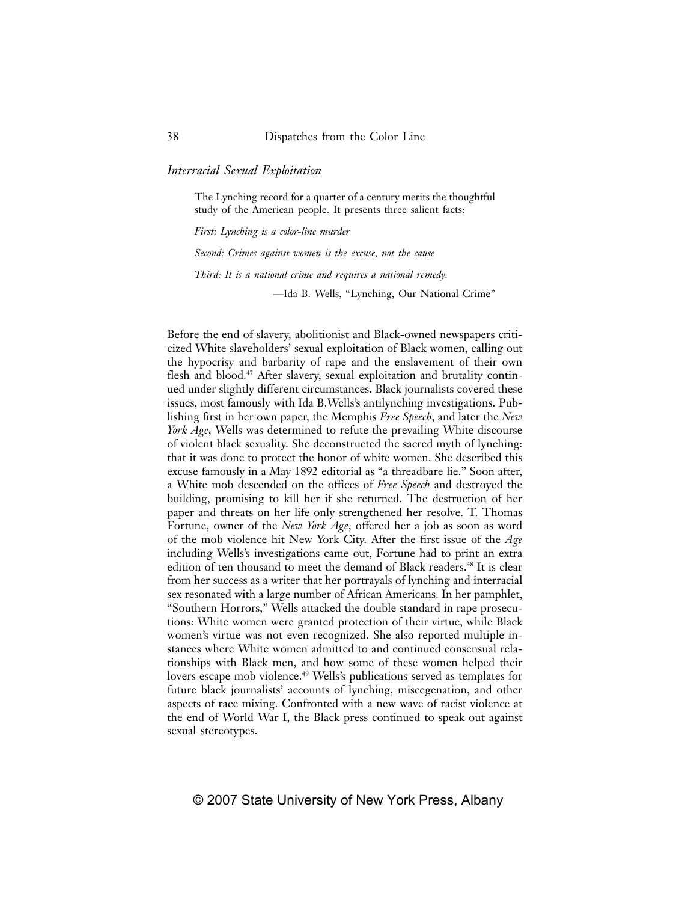#### *Interracial Sexual Exploitation*

The Lynching record for a quarter of a century merits the thoughtful study of the American people. It presents three salient facts:

*First: Lynching is a color-line murder*

*Second: Crimes against women is the excuse, not the cause*

*Third: It is a national crime and requires a national remedy.*

—Ida B. Wells, "Lynching, Our National Crime"

Before the end of slavery, abolitionist and Black-owned newspapers criticized White slaveholders' sexual exploitation of Black women, calling out the hypocrisy and barbarity of rape and the enslavement of their own flesh and blood.<sup>47</sup> After slavery, sexual exploitation and brutality continued under slightly different circumstances. Black journalists covered these issues, most famously with Ida B.Wells's antilynching investigations. Publishing first in her own paper, the Memphis *Free Speech*, and later the *New York Age*, Wells was determined to refute the prevailing White discourse of violent black sexuality. She deconstructed the sacred myth of lynching: that it was done to protect the honor of white women. She described this excuse famously in a May 1892 editorial as "a threadbare lie." Soon after, a White mob descended on the offices of *Free Speech* and destroyed the building, promising to kill her if she returned. The destruction of her paper and threats on her life only strengthened her resolve. T. Thomas Fortune, owner of the *New York Age*, offered her a job as soon as word of the mob violence hit New York City. After the first issue of the *Age* including Wells's investigations came out, Fortune had to print an extra edition of ten thousand to meet the demand of Black readers.<sup>48</sup> It is clear from her success as a writer that her portrayals of lynching and interracial sex resonated with a large number of African Americans. In her pamphlet, "Southern Horrors," Wells attacked the double standard in rape prosecutions: White women were granted protection of their virtue, while Black women's virtue was not even recognized. She also reported multiple instances where White women admitted to and continued consensual relationships with Black men, and how some of these women helped their lovers escape mob violence.<sup>49</sup> Wells's publications served as templates for future black journalists' accounts of lynching, miscegenation, and other aspects of race mixing. Confronted with a new wave of racist violence at the end of World War I, the Black press continued to speak out against sexual stereotypes.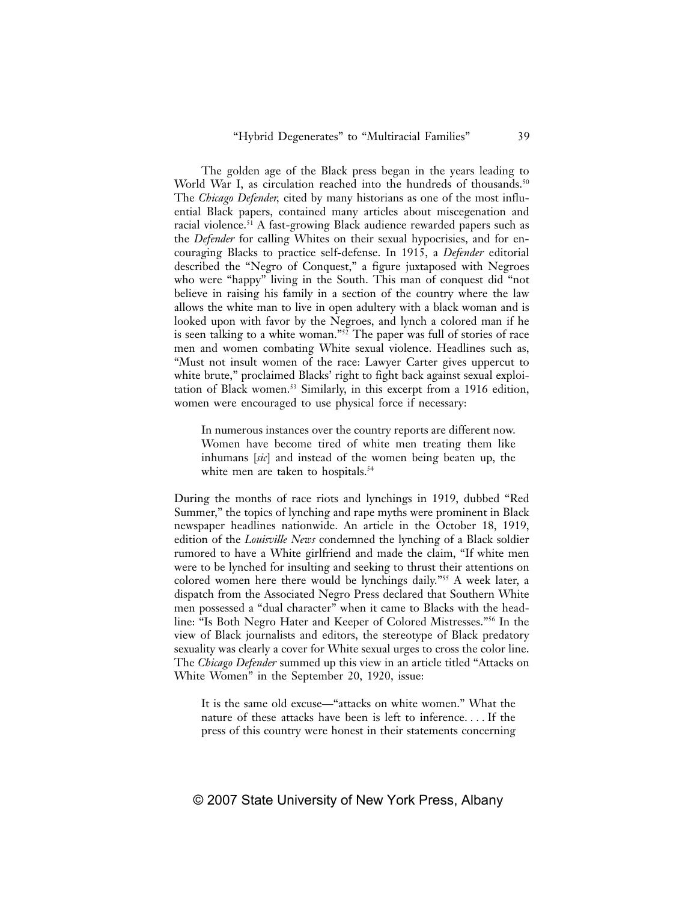The golden age of the Black press began in the years leading to World War I, as circulation reached into the hundreds of thousands.<sup>50</sup> The *Chicago Defender,* cited by many historians as one of the most influential Black papers, contained many articles about miscegenation and racial violence.<sup>51</sup> A fast-growing Black audience rewarded papers such as the *Defender* for calling Whites on their sexual hypocrisies, and for encouraging Blacks to practice self-defense. In 1915, a *Defender* editorial described the "Negro of Conquest," a figure juxtaposed with Negroes who were "happy" living in the South. This man of conquest did "not believe in raising his family in a section of the country where the law allows the white man to live in open adultery with a black woman and is looked upon with favor by the Negroes, and lynch a colored man if he is seen talking to a white woman."52 The paper was full of stories of race men and women combating White sexual violence. Headlines such as, "Must not insult women of the race: Lawyer Carter gives uppercut to white brute," proclaimed Blacks' right to fight back against sexual exploitation of Black women.53 Similarly, in this excerpt from a 1916 edition, women were encouraged to use physical force if necessary:

In numerous instances over the country reports are different now. Women have become tired of white men treating them like inhumans [*sic*] and instead of the women being beaten up, the white men are taken to hospitals.<sup>54</sup>

During the months of race riots and lynchings in 1919, dubbed "Red Summer," the topics of lynching and rape myths were prominent in Black newspaper headlines nationwide. An article in the October 18, 1919, edition of the *Louisville News* condemned the lynching of a Black soldier rumored to have a White girlfriend and made the claim, "If white men were to be lynched for insulting and seeking to thrust their attentions on colored women here there would be lynchings daily."55 A week later, a dispatch from the Associated Negro Press declared that Southern White men possessed a "dual character" when it came to Blacks with the headline: "Is Both Negro Hater and Keeper of Colored Mistresses."56 In the view of Black journalists and editors, the stereotype of Black predatory sexuality was clearly a cover for White sexual urges to cross the color line. The *Chicago Defender* summed up this view in an article titled "Attacks on White Women" in the September 20, 1920, issue:

It is the same old excuse—"attacks on white women." What the nature of these attacks have been is left to inference. . . . If the press of this country were honest in their statements concerning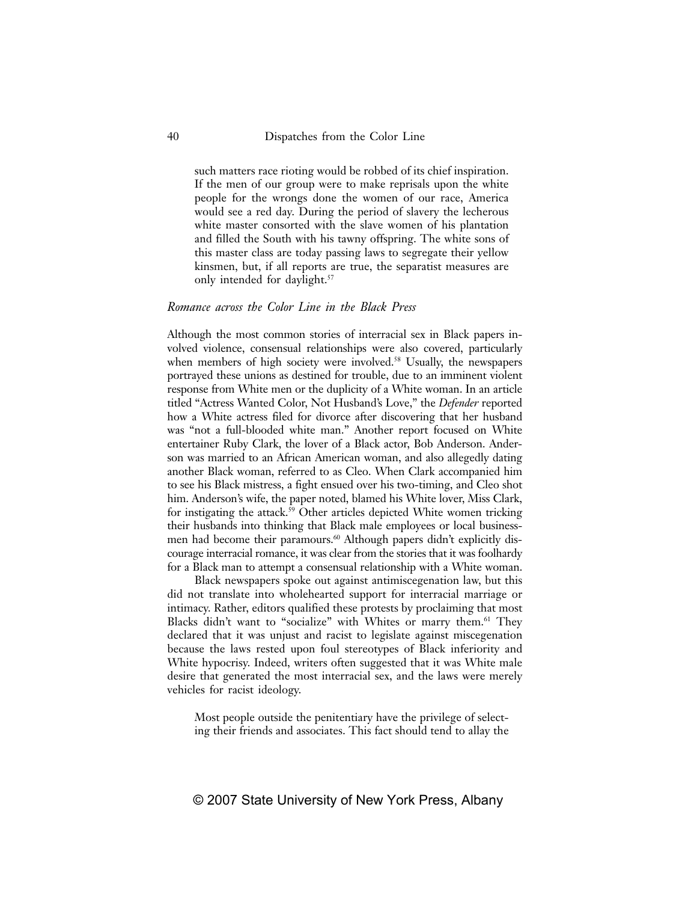such matters race rioting would be robbed of its chief inspiration. If the men of our group were to make reprisals upon the white people for the wrongs done the women of our race, America would see a red day. During the period of slavery the lecherous white master consorted with the slave women of his plantation and filled the South with his tawny offspring. The white sons of this master class are today passing laws to segregate their yellow kinsmen, but, if all reports are true, the separatist measures are only intended for daylight.<sup>57</sup>

#### *Romance across the Color Line in the Black Press*

Although the most common stories of interracial sex in Black papers involved violence, consensual relationships were also covered, particularly when members of high society were involved.<sup>58</sup> Usually, the newspapers portrayed these unions as destined for trouble, due to an imminent violent response from White men or the duplicity of a White woman. In an article titled "Actress Wanted Color, Not Husband's Love," the *Defender* reported how a White actress filed for divorce after discovering that her husband was "not a full-blooded white man." Another report focused on White entertainer Ruby Clark, the lover of a Black actor, Bob Anderson. Anderson was married to an African American woman, and also allegedly dating another Black woman, referred to as Cleo. When Clark accompanied him to see his Black mistress, a fight ensued over his two-timing, and Cleo shot him. Anderson's wife, the paper noted, blamed his White lover, Miss Clark, for instigating the attack.<sup>59</sup> Other articles depicted White women tricking their husbands into thinking that Black male employees or local businessmen had become their paramours.<sup>60</sup> Although papers didn't explicitly discourage interracial romance, it was clear from the stories that it was foolhardy for a Black man to attempt a consensual relationship with a White woman.

Black newspapers spoke out against antimiscegenation law, but this did not translate into wholehearted support for interracial marriage or intimacy. Rather, editors qualified these protests by proclaiming that most Blacks didn't want to "socialize" with Whites or marry them.<sup>61</sup> They declared that it was unjust and racist to legislate against miscegenation because the laws rested upon foul stereotypes of Black inferiority and White hypocrisy. Indeed, writers often suggested that it was White male desire that generated the most interracial sex, and the laws were merely vehicles for racist ideology.

Most people outside the penitentiary have the privilege of selecting their friends and associates. This fact should tend to allay the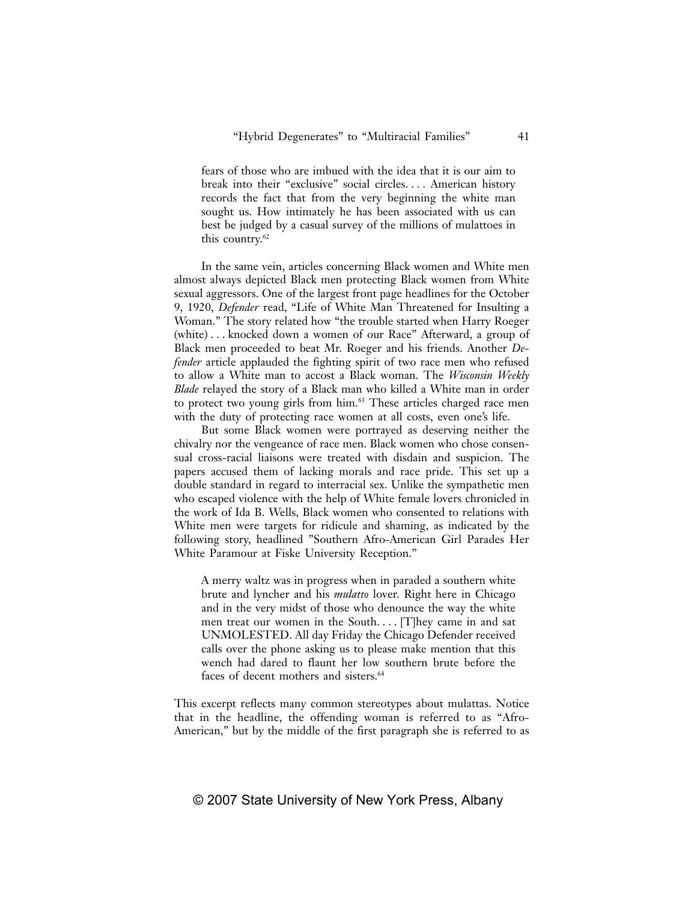fears of those who are imbued with the idea that it is our aim to break into their "exclusive" social circles. . . . American history records the fact that from the very beginning the white man sought us. How intimately he has been associated with us can best be judged by a casual survey of the millions of mulattoes in this country.<sup>62</sup>

In the same vein, articles concerning Black women and White men almost always depicted Black men protecting Black women from White sexual aggressors. One of the largest front page headlines for the October 9, 1920, *Defender* read, "Life of White Man Threatened for Insulting a Woman." The story related how "the trouble started when Harry Roeger (white) . . . knocked down a women of our Race" Afterward, a group of Black men proceeded to beat Mr. Roeger and his friends. Another *Defender* article applauded the fighting spirit of two race men who refused to allow a White man to accost a Black woman. The *Wisconsin Weekly Blade* relayed the story of a Black man who killed a White man in order to protect two young girls from him.<sup>63</sup> These articles charged race men with the duty of protecting race women at all costs, even one's life.

But some Black women were portrayed as deserving neither the chivalry nor the vengeance of race men. Black women who chose consensual cross-racial liaisons were treated with disdain and suspicion. The papers accused them of lacking morals and race pride. This set up a double standard in regard to interracial sex. Unlike the sympathetic men who escaped violence with the help of White female lovers chronicled in the work of Ida B. Wells, Black women who consented to relations with White men were targets for ridicule and shaming, as indicated by the following story, headlined "Southern Afro-American Girl Parades Her White Paramour at Fiske University Reception."

A merry waltz was in progress when in paraded a southern white brute and lyncher and his *mulatto* lover. Right here in Chicago and in the very midst of those who denounce the way the white men treat our women in the South.... [T]hey came in and sat UNMOLESTED. All day Friday the Chicago Defender received calls over the phone asking us to please make mention that this wench had dared to flaunt her low southern brute before the faces of decent mothers and sisters.<sup>64</sup>

This excerpt reflects many common stereotypes about mulattas. Notice that in the headline, the offending woman is referred to as "Afro-American," but by the middle of the first paragraph she is referred to as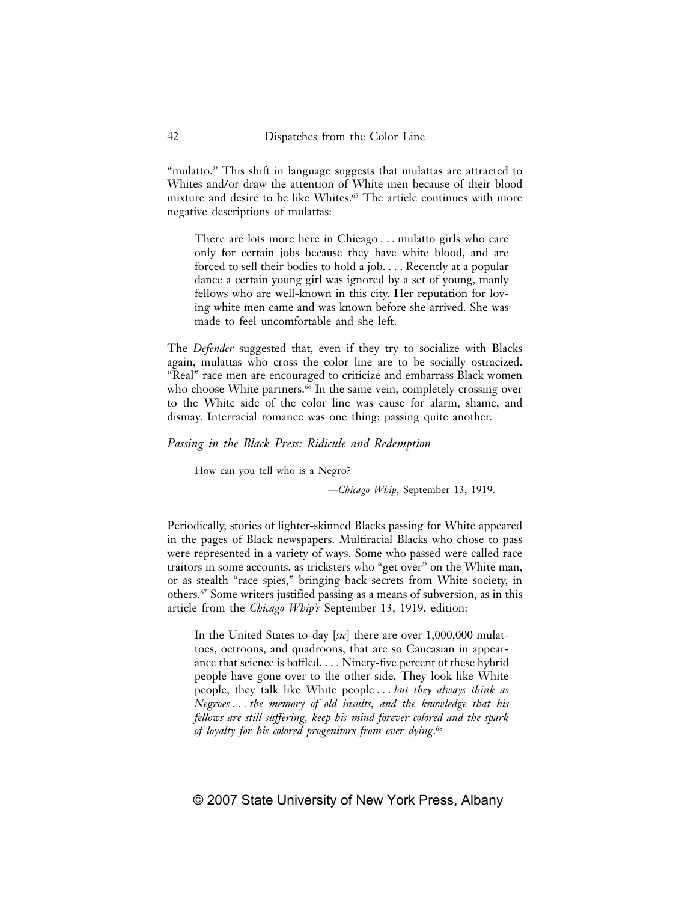"mulatto." This shift in language suggests that mulattas are attracted to Whites and/or draw the attention of White men because of their blood mixture and desire to be like Whites.<sup>65</sup> The article continues with more negative descriptions of mulattas:

There are lots more here in Chicago . . . mulatto girls who care only for certain jobs because they have white blood, and are forced to sell their bodies to hold a job. . . . Recently at a popular dance a certain young girl was ignored by a set of young, manly fellows who are well-known in this city. Her reputation for loving white men came and was known before she arrived. She was made to feel uncomfortable and she left.

The *Defender* suggested that, even if they try to socialize with Blacks again, mulattas who cross the color line are to be socially ostracized. "Real" race men are encouraged to criticize and embarrass Black women who choose White partners.<sup>66</sup> In the same vein, completely crossing over to the White side of the color line was cause for alarm, shame, and dismay. Interracial romance was one thing; passing quite another.

*Passing in the Black Press: Ridicule and Redemption*

How can you tell who is a Negro?

—*Chicago Whip*, September 13, 1919.

Periodically, stories of lighter-skinned Blacks passing for White appeared in the pages of Black newspapers. Multiracial Blacks who chose to pass were represented in a variety of ways. Some who passed were called race traitors in some accounts, as tricksters who "get over" on the White man, or as stealth "race spies," bringing back secrets from White society, in others.67 Some writers justified passing as a means of subversion, as in this article from the *Chicago Whip's* September 13, 1919, edition:

In the United States to-day [*sic*] there are over 1,000,000 mulattoes, octroons, and quadroons, that are so Caucasian in appearance that science is baffled. . . . Ninety-five percent of these hybrid people have gone over to the other side. They look like White people, they talk like White people . *. . but they always think as Negroes . . . the memory of old insults, and the knowledge that his fellows are still suffering, keep his mind forever colored and the spark of loyalty for his colored progenitors from ever dying*. 68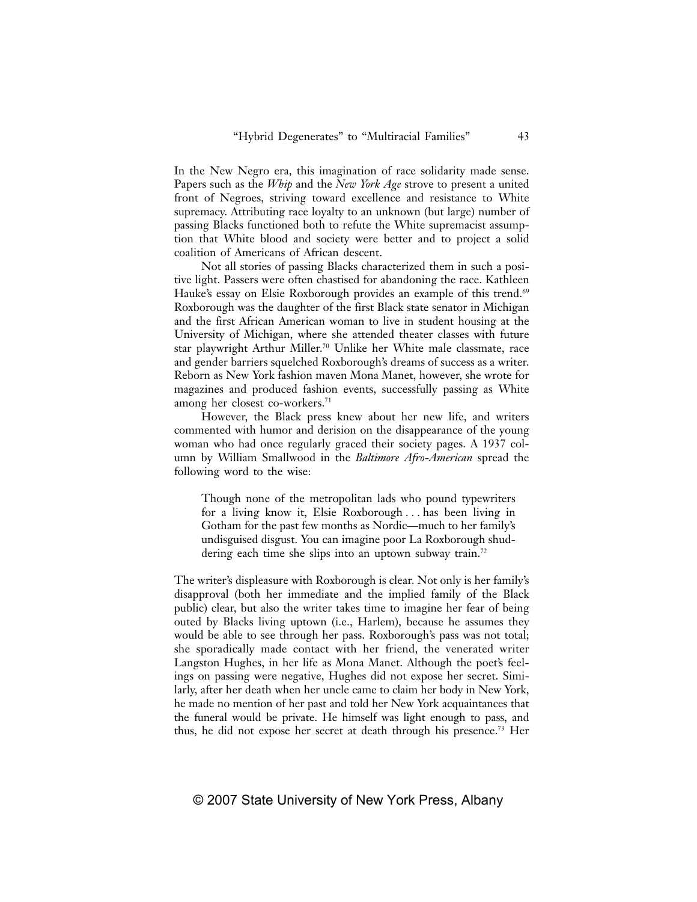In the New Negro era, this imagination of race solidarity made sense. Papers such as the *Whip* and the *New York Age* strove to present a united front of Negroes, striving toward excellence and resistance to White supremacy. Attributing race loyalty to an unknown (but large) number of passing Blacks functioned both to refute the White supremacist assumption that White blood and society were better and to project a solid coalition of Americans of African descent.

Not all stories of passing Blacks characterized them in such a positive light. Passers were often chastised for abandoning the race. Kathleen Hauke's essay on Elsie Roxborough provides an example of this trend.<sup>69</sup> Roxborough was the daughter of the first Black state senator in Michigan and the first African American woman to live in student housing at the University of Michigan, where she attended theater classes with future star playwright Arthur Miller.70 Unlike her White male classmate, race and gender barriers squelched Roxborough's dreams of success as a writer. Reborn as New York fashion maven Mona Manet, however, she wrote for magazines and produced fashion events, successfully passing as White among her closest co-workers.<sup>71</sup>

However, the Black press knew about her new life, and writers commented with humor and derision on the disappearance of the young woman who had once regularly graced their society pages. A 1937 column by William Smallwood in the *Baltimore Afro-American* spread the following word to the wise:

Though none of the metropolitan lads who pound typewriters for a living know it, Elsie Roxborough . . . has been living in Gotham for the past few months as Nordic—much to her family's undisguised disgust. You can imagine poor La Roxborough shuddering each time she slips into an uptown subway train.<sup>72</sup>

The writer's displeasure with Roxborough is clear. Not only is her family's disapproval (both her immediate and the implied family of the Black public) clear, but also the writer takes time to imagine her fear of being outed by Blacks living uptown (i.e., Harlem), because he assumes they would be able to see through her pass. Roxborough's pass was not total; she sporadically made contact with her friend, the venerated writer Langston Hughes, in her life as Mona Manet. Although the poet's feelings on passing were negative, Hughes did not expose her secret. Similarly, after her death when her uncle came to claim her body in New York, he made no mention of her past and told her New York acquaintances that the funeral would be private. He himself was light enough to pass, and thus, he did not expose her secret at death through his presence.73 Her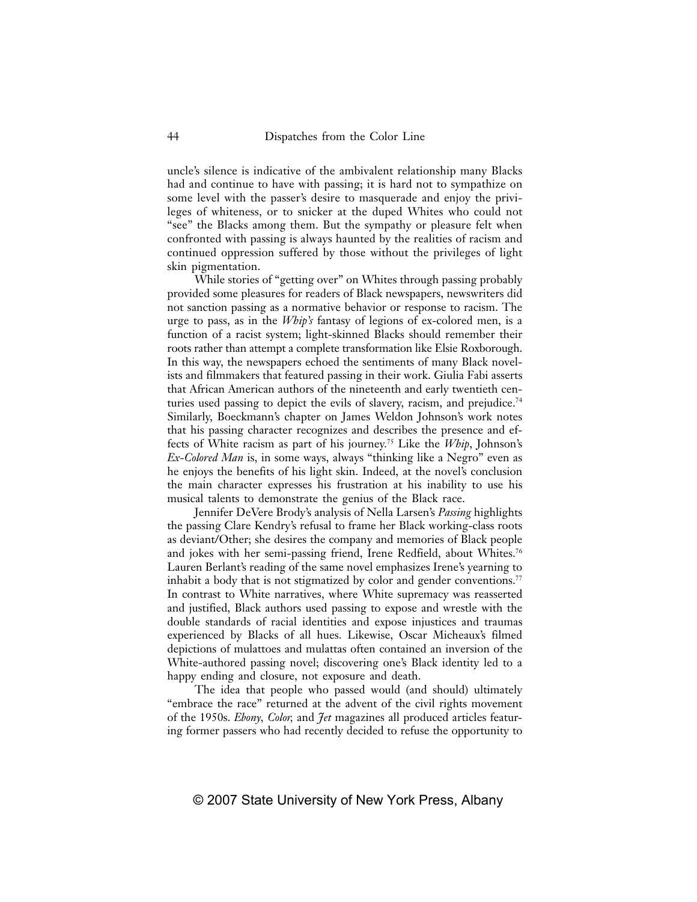uncle's silence is indicative of the ambivalent relationship many Blacks had and continue to have with passing; it is hard not to sympathize on some level with the passer's desire to masquerade and enjoy the privileges of whiteness, or to snicker at the duped Whites who could not "see" the Blacks among them. But the sympathy or pleasure felt when confronted with passing is always haunted by the realities of racism and continued oppression suffered by those without the privileges of light skin pigmentation.

While stories of "getting over" on Whites through passing probably provided some pleasures for readers of Black newspapers, newswriters did not sanction passing as a normative behavior or response to racism. The urge to pass, as in the *Whip's* fantasy of legions of ex-colored men, is a function of a racist system; light-skinned Blacks should remember their roots rather than attempt a complete transformation like Elsie Roxborough. In this way, the newspapers echoed the sentiments of many Black novelists and filmmakers that featured passing in their work. Giulia Fabi asserts that African American authors of the nineteenth and early twentieth centuries used passing to depict the evils of slavery, racism, and prejudice.<sup>74</sup> Similarly, Boeckmann's chapter on James Weldon Johnson's work notes that his passing character recognizes and describes the presence and effects of White racism as part of his journey.75 Like the *Whip*, Johnson's *Ex-Colored Man* is, in some ways, always "thinking like a Negro" even as he enjoys the benefits of his light skin. Indeed, at the novel's conclusion the main character expresses his frustration at his inability to use his musical talents to demonstrate the genius of the Black race.

Jennifer DeVere Brody's analysis of Nella Larsen's *Passing* highlights the passing Clare Kendry's refusal to frame her Black working-class roots as deviant/Other; she desires the company and memories of Black people and jokes with her semi-passing friend, Irene Redfield, about Whites.<sup>76</sup> Lauren Berlant's reading of the same novel emphasizes Irene's yearning to inhabit a body that is not stigmatized by color and gender conventions.<sup>77</sup> In contrast to White narratives, where White supremacy was reasserted and justified, Black authors used passing to expose and wrestle with the double standards of racial identities and expose injustices and traumas experienced by Blacks of all hues. Likewise, Oscar Micheaux's filmed depictions of mulattoes and mulattas often contained an inversion of the White-authored passing novel; discovering one's Black identity led to a happy ending and closure, not exposure and death.

The idea that people who passed would (and should) ultimately "embrace the race" returned at the advent of the civil rights movement of the 1950s. *Ebony, Color,* and *Jet* magazines all produced articles featuring former passers who had recently decided to refuse the opportunity to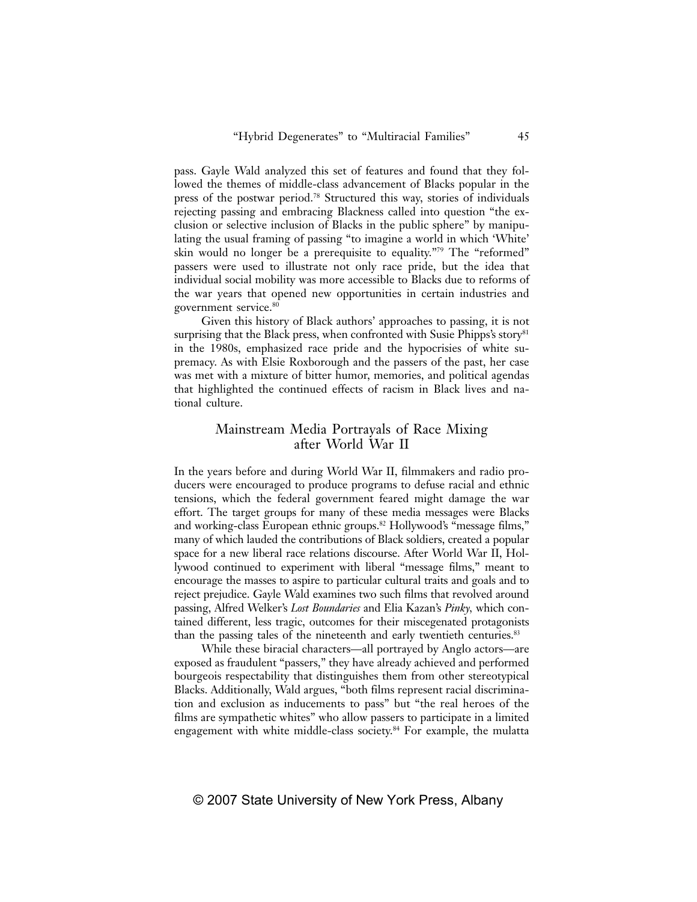pass. Gayle Wald analyzed this set of features and found that they followed the themes of middle-class advancement of Blacks popular in the press of the postwar period.78 Structured this way, stories of individuals rejecting passing and embracing Blackness called into question "the exclusion or selective inclusion of Blacks in the public sphere" by manipulating the usual framing of passing "to imagine a world in which 'White' skin would no longer be a prerequisite to equality."79 The "reformed" passers were used to illustrate not only race pride, but the idea that individual social mobility was more accessible to Blacks due to reforms of the war years that opened new opportunities in certain industries and government service.<sup>80</sup>

Given this history of Black authors' approaches to passing, it is not surprising that the Black press, when confronted with Susie Phipps's story<sup>81</sup> in the 1980s, emphasized race pride and the hypocrisies of white supremacy. As with Elsie Roxborough and the passers of the past, her case was met with a mixture of bitter humor, memories, and political agendas that highlighted the continued effects of racism in Black lives and national culture.

## Mainstream Media Portrayals of Race Mixing after World War II

In the years before and during World War II, filmmakers and radio producers were encouraged to produce programs to defuse racial and ethnic tensions, which the federal government feared might damage the war effort. The target groups for many of these media messages were Blacks and working-class European ethnic groups.<sup>82</sup> Hollywood's "message films," many of which lauded the contributions of Black soldiers, created a popular space for a new liberal race relations discourse. After World War II, Hollywood continued to experiment with liberal "message films," meant to encourage the masses to aspire to particular cultural traits and goals and to reject prejudice. Gayle Wald examines two such films that revolved around passing, Alfred Welker's *Lost Boundaries* and Elia Kazan's *Pinky,* which contained different, less tragic, outcomes for their miscegenated protagonists than the passing tales of the nineteenth and early twentieth centuries.<sup>83</sup>

While these biracial characters—all portrayed by Anglo actors—are exposed as fraudulent "passers," they have already achieved and performed bourgeois respectability that distinguishes them from other stereotypical Blacks. Additionally, Wald argues, "both films represent racial discrimination and exclusion as inducements to pass" but "the real heroes of the films are sympathetic whites" who allow passers to participate in a limited engagement with white middle-class society.<sup>84</sup> For example, the mulatta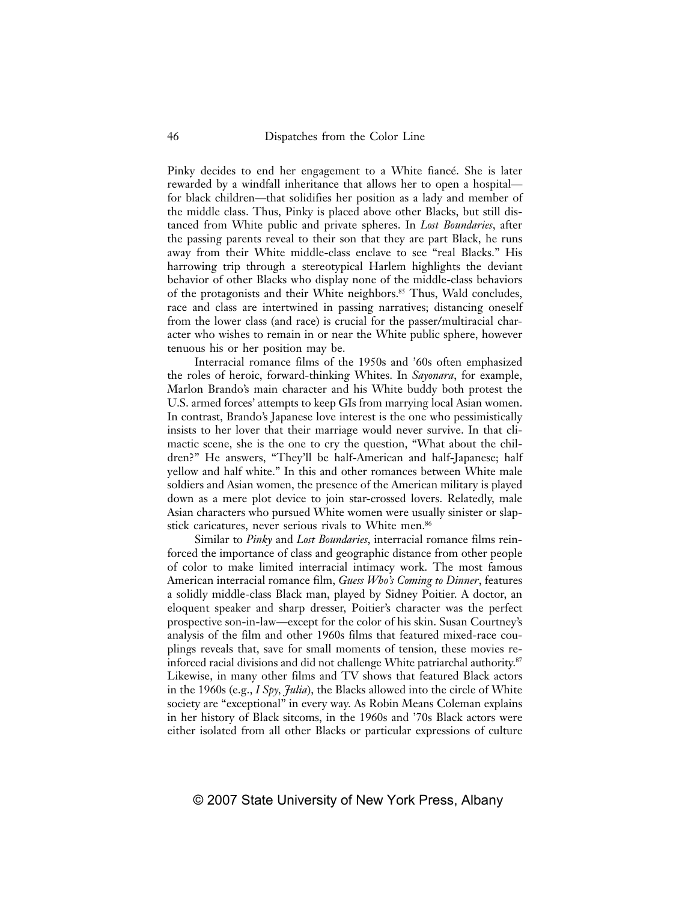Pinky decides to end her engagement to a White fiancé. She is later rewarded by a windfall inheritance that allows her to open a hospital for black children—that solidifies her position as a lady and member of the middle class. Thus, Pinky is placed above other Blacks, but still distanced from White public and private spheres. In *Lost Boundaries*, after the passing parents reveal to their son that they are part Black, he runs away from their White middle-class enclave to see "real Blacks." His harrowing trip through a stereotypical Harlem highlights the deviant behavior of other Blacks who display none of the middle-class behaviors of the protagonists and their White neighbors.<sup>85</sup> Thus, Wald concludes, race and class are intertwined in passing narratives; distancing oneself from the lower class (and race) is crucial for the passer/multiracial character who wishes to remain in or near the White public sphere, however tenuous his or her position may be.

Interracial romance films of the 1950s and '60s often emphasized the roles of heroic, forward-thinking Whites. In *Sayonara*, for example, Marlon Brando's main character and his White buddy both protest the U.S. armed forces' attempts to keep GIs from marrying local Asian women. In contrast, Brando's Japanese love interest is the one who pessimistically insists to her lover that their marriage would never survive. In that climactic scene, she is the one to cry the question, "What about the children?" He answers, "They'll be half-American and half-Japanese; half yellow and half white." In this and other romances between White male soldiers and Asian women, the presence of the American military is played down as a mere plot device to join star-crossed lovers. Relatedly, male Asian characters who pursued White women were usually sinister or slapstick caricatures, never serious rivals to White men.<sup>86</sup>

Similar to *Pinky* and *Lost Boundaries*, interracial romance films reinforced the importance of class and geographic distance from other people of color to make limited interracial intimacy work. The most famous American interracial romance film, *Guess Who's Coming to Dinner*, features a solidly middle-class Black man, played by Sidney Poitier. A doctor, an eloquent speaker and sharp dresser, Poitier's character was the perfect prospective son-in-law—except for the color of his skin. Susan Courtney's analysis of the film and other 1960s films that featured mixed-race couplings reveals that, save for small moments of tension, these movies reinforced racial divisions and did not challenge White patriarchal authority.87 Likewise, in many other films and TV shows that featured Black actors in the 1960s (e.g., *I Spy, Julia*), the Blacks allowed into the circle of White society are "exceptional" in every way. As Robin Means Coleman explains in her history of Black sitcoms, in the 1960s and '70s Black actors were either isolated from all other Blacks or particular expressions of culture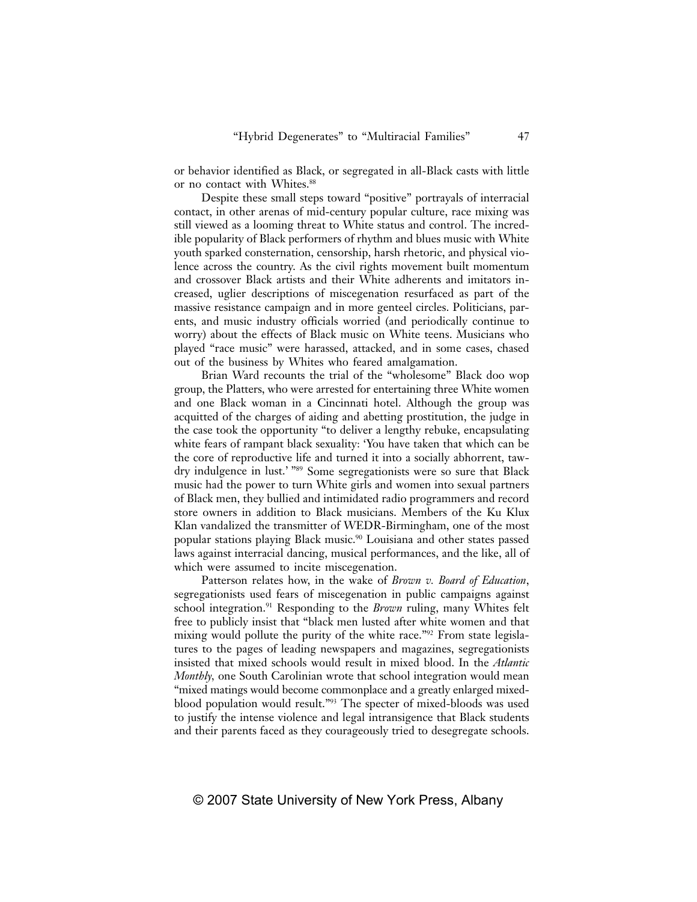or behavior identified as Black, or segregated in all-Black casts with little or no contact with Whites.88

Despite these small steps toward "positive" portrayals of interracial contact, in other arenas of mid-century popular culture, race mixing was still viewed as a looming threat to White status and control. The incredible popularity of Black performers of rhythm and blues music with White youth sparked consternation, censorship, harsh rhetoric, and physical violence across the country. As the civil rights movement built momentum and crossover Black artists and their White adherents and imitators increased, uglier descriptions of miscegenation resurfaced as part of the massive resistance campaign and in more genteel circles. Politicians, parents, and music industry officials worried (and periodically continue to worry) about the effects of Black music on White teens. Musicians who played "race music" were harassed, attacked, and in some cases, chased out of the business by Whites who feared amalgamation.

Brian Ward recounts the trial of the "wholesome" Black doo wop group, the Platters, who were arrested for entertaining three White women and one Black woman in a Cincinnati hotel. Although the group was acquitted of the charges of aiding and abetting prostitution, the judge in the case took the opportunity "to deliver a lengthy rebuke, encapsulating white fears of rampant black sexuality: 'You have taken that which can be the core of reproductive life and turned it into a socially abhorrent, tawdry indulgence in lust.' "89 Some segregationists were so sure that Black music had the power to turn White girls and women into sexual partners of Black men, they bullied and intimidated radio programmers and record store owners in addition to Black musicians. Members of the Ku Klux Klan vandalized the transmitter of WEDR-Birmingham, one of the most popular stations playing Black music.90 Louisiana and other states passed laws against interracial dancing, musical performances, and the like, all of which were assumed to incite miscegenation.

Patterson relates how, in the wake of *Brown v. Board of Education*, segregationists used fears of miscegenation in public campaigns against school integration.<sup>91</sup> Responding to the *Brown* ruling, many Whites felt free to publicly insist that "black men lusted after white women and that mixing would pollute the purity of the white race."92 From state legislatures to the pages of leading newspapers and magazines, segregationists insisted that mixed schools would result in mixed blood. In the *Atlantic Monthly,* one South Carolinian wrote that school integration would mean "mixed matings would become commonplace and a greatly enlarged mixedblood population would result."93 The specter of mixed-bloods was used to justify the intense violence and legal intransigence that Black students and their parents faced as they courageously tried to desegregate schools.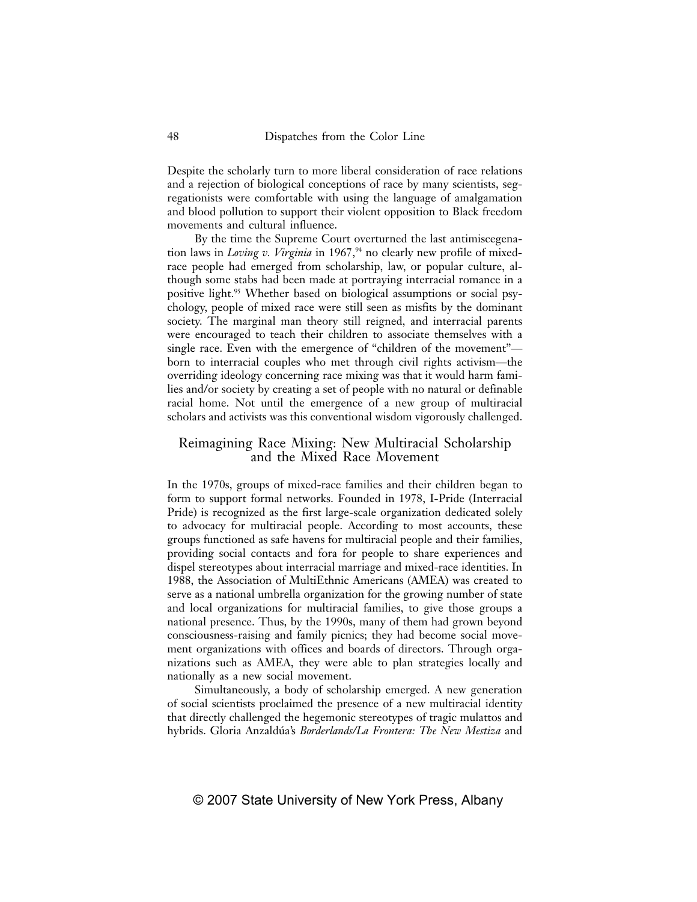Despite the scholarly turn to more liberal consideration of race relations and a rejection of biological conceptions of race by many scientists, segregationists were comfortable with using the language of amalgamation and blood pollution to support their violent opposition to Black freedom movements and cultural influence.

By the time the Supreme Court overturned the last antimiscegenation laws in *Loving v. Virginia* in 1967,<sup>94</sup> no clearly new profile of mixedrace people had emerged from scholarship, law, or popular culture, although some stabs had been made at portraying interracial romance in a positive light.95 Whether based on biological assumptions or social psychology, people of mixed race were still seen as misfits by the dominant society. The marginal man theory still reigned, and interracial parents were encouraged to teach their children to associate themselves with a single race. Even with the emergence of "children of the movement" born to interracial couples who met through civil rights activism—the overriding ideology concerning race mixing was that it would harm families and/or society by creating a set of people with no natural or definable racial home. Not until the emergence of a new group of multiracial scholars and activists was this conventional wisdom vigorously challenged.

#### Reimagining Race Mixing: New Multiracial Scholarship and the Mixed Race Movement

In the 1970s, groups of mixed-race families and their children began to form to support formal networks. Founded in 1978, I-Pride (Interracial Pride) is recognized as the first large-scale organization dedicated solely to advocacy for multiracial people. According to most accounts, these groups functioned as safe havens for multiracial people and their families, providing social contacts and fora for people to share experiences and dispel stereotypes about interracial marriage and mixed-race identities. In 1988, the Association of MultiEthnic Americans (AMEA) was created to serve as a national umbrella organization for the growing number of state and local organizations for multiracial families, to give those groups a national presence. Thus, by the 1990s, many of them had grown beyond consciousness-raising and family picnics; they had become social movement organizations with offices and boards of directors. Through organizations such as AMEA, they were able to plan strategies locally and nationally as a new social movement.

Simultaneously, a body of scholarship emerged. A new generation of social scientists proclaimed the presence of a new multiracial identity that directly challenged the hegemonic stereotypes of tragic mulattos and hybrids. Gloria Anzaldúa's *Borderlands/La Frontera: The New Mestiza* and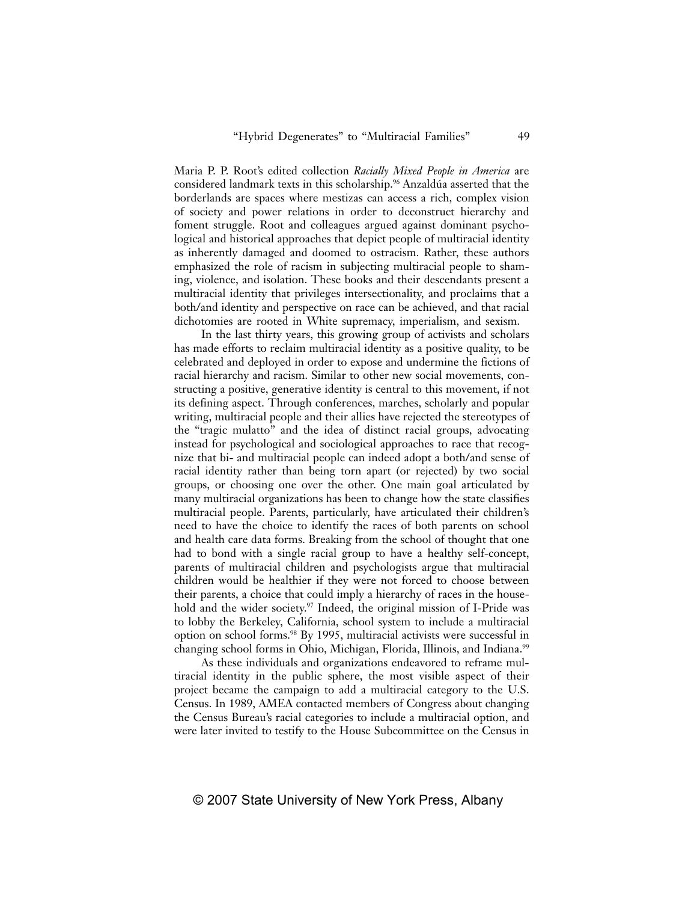Maria P. P. Root's edited collection *Racially Mixed People in America* are considered landmark texts in this scholarship.<sup>96</sup> Anzaldúa asserted that the borderlands are spaces where mestizas can access a rich, complex vision of society and power relations in order to deconstruct hierarchy and foment struggle. Root and colleagues argued against dominant psychological and historical approaches that depict people of multiracial identity as inherently damaged and doomed to ostracism. Rather, these authors emphasized the role of racism in subjecting multiracial people to shaming, violence, and isolation. These books and their descendants present a multiracial identity that privileges intersectionality, and proclaims that a both/and identity and perspective on race can be achieved, and that racial dichotomies are rooted in White supremacy, imperialism, and sexism.

In the last thirty years, this growing group of activists and scholars has made efforts to reclaim multiracial identity as a positive quality, to be celebrated and deployed in order to expose and undermine the fictions of racial hierarchy and racism. Similar to other new social movements, constructing a positive, generative identity is central to this movement, if not its defining aspect. Through conferences, marches, scholarly and popular writing, multiracial people and their allies have rejected the stereotypes of the "tragic mulatto" and the idea of distinct racial groups, advocating instead for psychological and sociological approaches to race that recognize that bi- and multiracial people can indeed adopt a both/and sense of racial identity rather than being torn apart (or rejected) by two social groups, or choosing one over the other. One main goal articulated by many multiracial organizations has been to change how the state classifies multiracial people. Parents, particularly, have articulated their children's need to have the choice to identify the races of both parents on school and health care data forms. Breaking from the school of thought that one had to bond with a single racial group to have a healthy self-concept, parents of multiracial children and psychologists argue that multiracial children would be healthier if they were not forced to choose between their parents, a choice that could imply a hierarchy of races in the household and the wider society.<sup>97</sup> Indeed, the original mission of I-Pride was to lobby the Berkeley, California, school system to include a multiracial option on school forms.98 By 1995, multiracial activists were successful in changing school forms in Ohio, Michigan, Florida, Illinois, and Indiana.<sup>99</sup>

As these individuals and organizations endeavored to reframe multiracial identity in the public sphere, the most visible aspect of their project became the campaign to add a multiracial category to the U.S. Census. In 1989, AMEA contacted members of Congress about changing the Census Bureau's racial categories to include a multiracial option, and were later invited to testify to the House Subcommittee on the Census in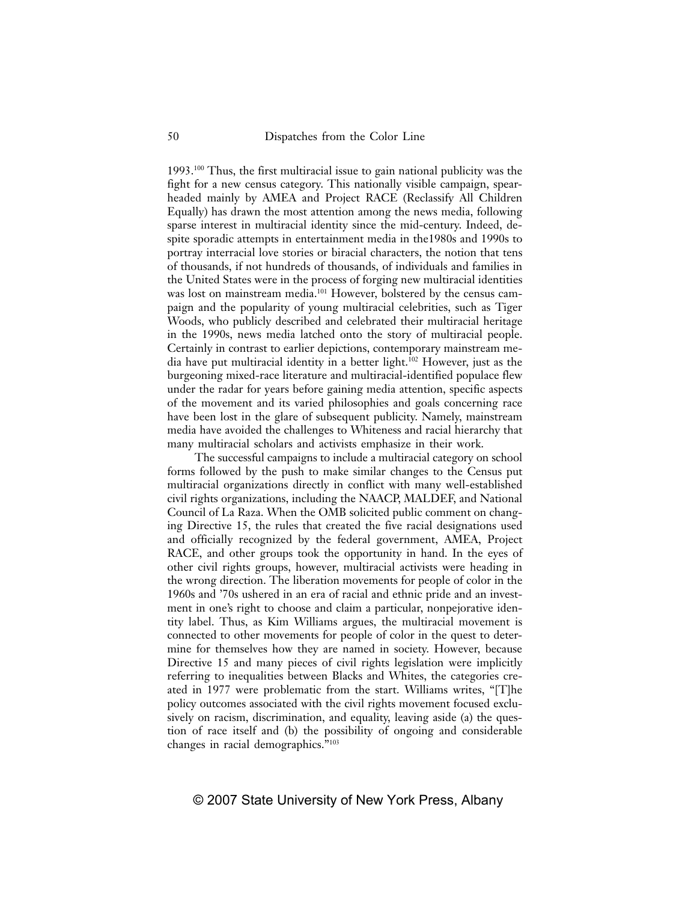1993.100 Thus, the first multiracial issue to gain national publicity was the fight for a new census category. This nationally visible campaign, spearheaded mainly by AMEA and Project RACE (Reclassify All Children Equally) has drawn the most attention among the news media, following sparse interest in multiracial identity since the mid-century. Indeed, despite sporadic attempts in entertainment media in the1980s and 1990s to portray interracial love stories or biracial characters, the notion that tens of thousands, if not hundreds of thousands, of individuals and families in the United States were in the process of forging new multiracial identities was lost on mainstream media.<sup>101</sup> However, bolstered by the census campaign and the popularity of young multiracial celebrities, such as Tiger Woods, who publicly described and celebrated their multiracial heritage in the 1990s, news media latched onto the story of multiracial people. Certainly in contrast to earlier depictions, contemporary mainstream media have put multiracial identity in a better light.102 However, just as the burgeoning mixed-race literature and multiracial-identified populace flew under the radar for years before gaining media attention, specific aspects of the movement and its varied philosophies and goals concerning race have been lost in the glare of subsequent publicity. Namely, mainstream media have avoided the challenges to Whiteness and racial hierarchy that many multiracial scholars and activists emphasize in their work.

The successful campaigns to include a multiracial category on school forms followed by the push to make similar changes to the Census put multiracial organizations directly in conflict with many well-established civil rights organizations, including the NAACP, MALDEF, and National Council of La Raza. When the OMB solicited public comment on changing Directive 15, the rules that created the five racial designations used and officially recognized by the federal government, AMEA, Project RACE, and other groups took the opportunity in hand. In the eyes of other civil rights groups, however, multiracial activists were heading in the wrong direction. The liberation movements for people of color in the 1960s and '70s ushered in an era of racial and ethnic pride and an investment in one's right to choose and claim a particular, nonpejorative identity label. Thus, as Kim Williams argues, the multiracial movement is connected to other movements for people of color in the quest to determine for themselves how they are named in society. However, because Directive 15 and many pieces of civil rights legislation were implicitly referring to inequalities between Blacks and Whites, the categories created in 1977 were problematic from the start. Williams writes, "[T]he policy outcomes associated with the civil rights movement focused exclusively on racism, discrimination, and equality, leaving aside (a) the question of race itself and (b) the possibility of ongoing and considerable changes in racial demographics."103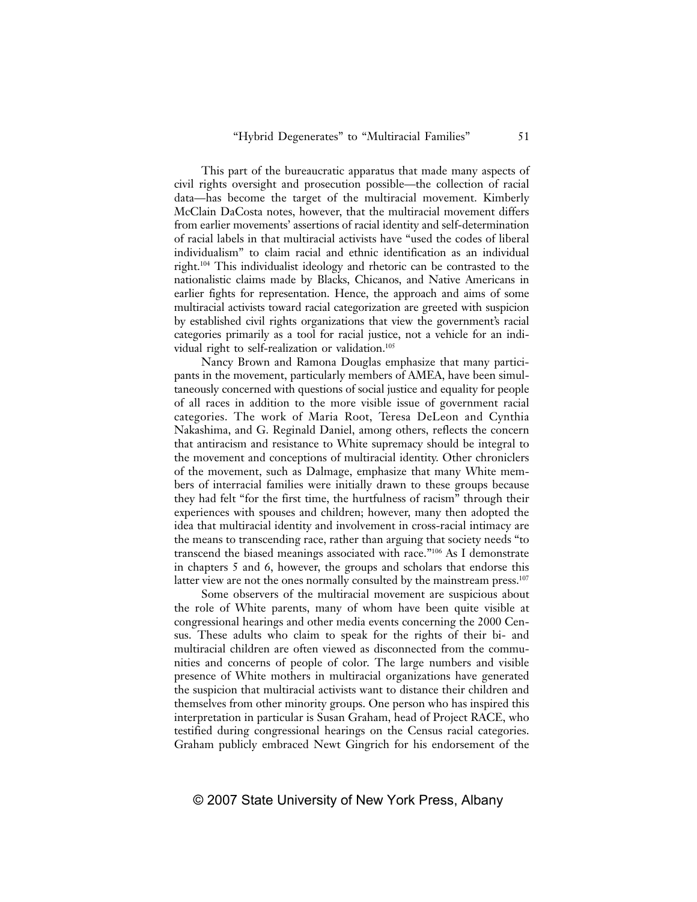This part of the bureaucratic apparatus that made many aspects of civil rights oversight and prosecution possible—the collection of racial data—has become the target of the multiracial movement. Kimberly McClain DaCosta notes, however, that the multiracial movement differs from earlier movements' assertions of racial identity and self-determination of racial labels in that multiracial activists have "used the codes of liberal individualism" to claim racial and ethnic identification as an individual right.104 This individualist ideology and rhetoric can be contrasted to the nationalistic claims made by Blacks, Chicanos, and Native Americans in earlier fights for representation. Hence, the approach and aims of some multiracial activists toward racial categorization are greeted with suspicion by established civil rights organizations that view the government's racial categories primarily as a tool for racial justice, not a vehicle for an individual right to self-realization or validation.<sup>105</sup>

Nancy Brown and Ramona Douglas emphasize that many participants in the movement, particularly members of AMEA, have been simultaneously concerned with questions of social justice and equality for people of all races in addition to the more visible issue of government racial categories. The work of Maria Root, Teresa DeLeon and Cynthia Nakashima, and G. Reginald Daniel, among others, reflects the concern that antiracism and resistance to White supremacy should be integral to the movement and conceptions of multiracial identity. Other chroniclers of the movement, such as Dalmage, emphasize that many White members of interracial families were initially drawn to these groups because they had felt "for the first time, the hurtfulness of racism" through their experiences with spouses and children; however, many then adopted the idea that multiracial identity and involvement in cross-racial intimacy are the means to transcending race, rather than arguing that society needs "to transcend the biased meanings associated with race."106 As I demonstrate in chapters 5 and 6, however, the groups and scholars that endorse this latter view are not the ones normally consulted by the mainstream press.<sup>107</sup>

Some observers of the multiracial movement are suspicious about the role of White parents, many of whom have been quite visible at congressional hearings and other media events concerning the 2000 Census. These adults who claim to speak for the rights of their bi- and multiracial children are often viewed as disconnected from the communities and concerns of people of color. The large numbers and visible presence of White mothers in multiracial organizations have generated the suspicion that multiracial activists want to distance their children and themselves from other minority groups. One person who has inspired this interpretation in particular is Susan Graham, head of Project RACE, who testified during congressional hearings on the Census racial categories. Graham publicly embraced Newt Gingrich for his endorsement of the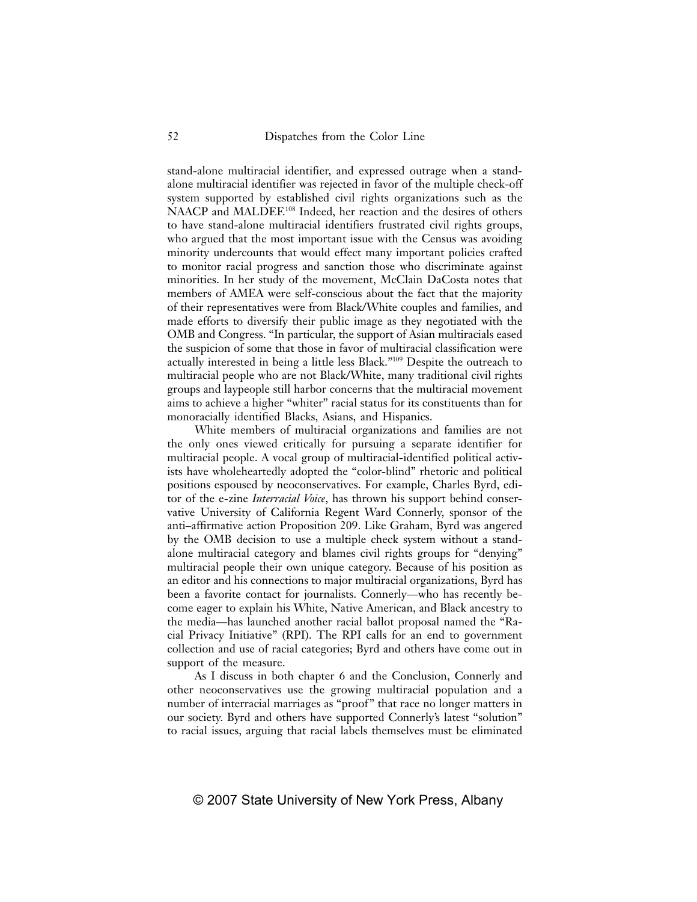stand-alone multiracial identifier, and expressed outrage when a standalone multiracial identifier was rejected in favor of the multiple check-off system supported by established civil rights organizations such as the NAACP and MALDEF.108 Indeed, her reaction and the desires of others to have stand-alone multiracial identifiers frustrated civil rights groups, who argued that the most important issue with the Census was avoiding minority undercounts that would effect many important policies crafted to monitor racial progress and sanction those who discriminate against minorities. In her study of the movement, McClain DaCosta notes that members of AMEA were self-conscious about the fact that the majority of their representatives were from Black/White couples and families, and made efforts to diversify their public image as they negotiated with the OMB and Congress. "In particular, the support of Asian multiracials eased the suspicion of some that those in favor of multiracial classification were actually interested in being a little less Black."109 Despite the outreach to multiracial people who are not Black/White, many traditional civil rights groups and laypeople still harbor concerns that the multiracial movement aims to achieve a higher "whiter" racial status for its constituents than for monoracially identified Blacks, Asians, and Hispanics.

White members of multiracial organizations and families are not the only ones viewed critically for pursuing a separate identifier for multiracial people. A vocal group of multiracial-identified political activists have wholeheartedly adopted the "color-blind" rhetoric and political positions espoused by neoconservatives. For example, Charles Byrd, editor of the e-zine *Interracial Voice*, has thrown his support behind conservative University of California Regent Ward Connerly, sponsor of the anti–affirmative action Proposition 209. Like Graham, Byrd was angered by the OMB decision to use a multiple check system without a standalone multiracial category and blames civil rights groups for "denying" multiracial people their own unique category. Because of his position as an editor and his connections to major multiracial organizations, Byrd has been a favorite contact for journalists. Connerly—who has recently become eager to explain his White, Native American, and Black ancestry to the media—has launched another racial ballot proposal named the "Racial Privacy Initiative" (RPI). The RPI calls for an end to government collection and use of racial categories; Byrd and others have come out in support of the measure.

As I discuss in both chapter 6 and the Conclusion, Connerly and other neoconservatives use the growing multiracial population and a number of interracial marriages as "proof" that race no longer matters in our society. Byrd and others have supported Connerly's latest "solution" to racial issues, arguing that racial labels themselves must be eliminated